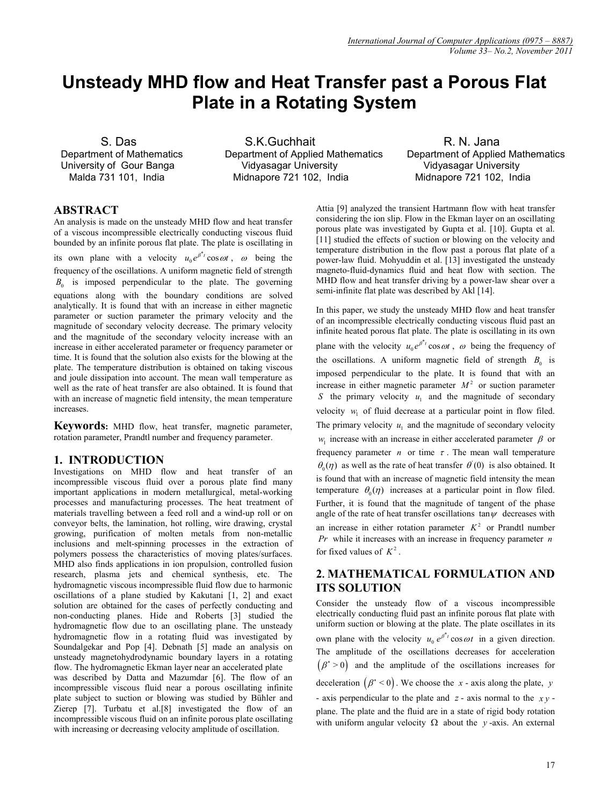# **Unsteady MHD flow and Heat Transfer past a Porous Flat Plate in a Rotating System**

S. Das Department of Mathematics University of Gour Banga Malda 731 101, India

 S.K.Guchhait Department of Applied Mathematics Vidyasagar University Midnapore 721 102, India

 R. N. Jana Department of Applied Mathematics Vidyasagar University Midnapore 721 102, India

# **ABSTRACT**

An analysis is made on the unsteady MHD flow and heat transfer of a viscous incompressible electrically conducting viscous fluid bounded by an infinite porous flat plate. The plate is oscillating in its own plane with a velocity  $u_0 e^{\beta t} \cos \omega t$ ,  $\omega$  being the frequency of the oscillations. A uniform magnetic field of strength  $B_0$  is imposed perpendicular to the plate. The governing equations along with the boundary conditions are solved analytically. It is found that with an increase in either magnetic parameter or suction parameter the primary velocity and the magnitude of secondary velocity decrease. The primary velocity and the magnitude of the secondary velocity increase with an increase in either accelerated parameter or frequency parameter or time. It is found that the solution also exists for the blowing at the plate. The temperature distribution is obtained on taking viscous and joule dissipation into account. The mean wall temperature as well as the rate of heat transfer are also obtained. It is found that with an increase of magnetic field intensity, the mean temperature increases.

**Keywords:** MHD flow, heat transfer, magnetic parameter, rotation parameter, Prandtl number and frequency parameter.

# **1. INTRODUCTION**

Investigations on MHD flow and heat transfer of an incompressible viscous fluid over a porous plate find many important applications in modern metallurgical, metal-working processes and manufacturing processes. The heat treatment of materials travelling between a feed roll and a wind-up roll or on conveyor belts, the lamination, hot rolling, wire drawing, crystal growing, purification of molten metals from non-metallic inclusions and melt-spinning processes in the extraction of polymers possess the characteristics of moving plates/surfaces. MHD also finds applications in ion propulsion, controlled fusion research, plasma jets and chemical synthesis, etc. The hydromagnetic viscous incompressible fluid flow due to harmonic oscillations of a plane studied by Kakutani [1, 2] and exact solution are obtained for the cases of perfectly conducting and non-conducting planes. Hide and Roberts [3] studied the hydromagnetic flow due to an oscillating plane. The unsteady hydromagnetic flow in a rotating fluid was investigated by Soundalgekar and Pop [4]. Debnath [5] made an analysis on unsteady magnetohydrodynamic boundary layers in a rotating flow. The hydromagnetic Ekman layer near an accelerated plate was described by Datta and Mazumdar [6]. The flow of an incompressible viscous fluid near a porous oscillating infinite plate subject to suction or blowing was studied by Bühler and Zierep [7]. Turbatu et al.[8] investigated the flow of an incompressible viscous fluid on an infinite porous plate oscillating with increasing or decreasing velocity amplitude of oscillation.

Attia [9] analyzed the transient Hartmann flow with heat transfer considering the ion slip. Flow in the Ekman layer on an oscillating porous plate was investigated by Gupta et al. [10]. Gupta et al. [11] studied the effects of suction or blowing on the velocity and temperature distribution in the flow past a porous flat plate of a power-law fluid. Mohyuddin et al. [13] investigated the unsteady magneto-fluid-dynamics fluid and heat flow with section. The MHD flow and heat transfer driving by a power-law shear over a semi-infinite flat plate was described by Akl [14].

In this paper, we study the unsteady MHD flow and heat transfer of an incompressible electrically conducting viscous fluid past an infinite heated porous flat plate. The plate is oscillating in its own plane with the velocity  $u_0 e^{\beta^* t} \cos \omega t$ ,  $\omega$  being the frequency of

the oscillations. A uniform magnetic field of strength  $B_0$  is imposed perpendicular to the plate. It is found that with an increase in either magnetic parameter  $M<sup>2</sup>$  or suction parameter *S* the primary velocity  $u_1$  and the magnitude of secondary velocity  $w_1$  of fluid decrease at a particular point in flow filed. The primary velocity  $u_1$  and the magnitude of secondary velocity  $w_1$  increase with an increase in either accelerated parameter  $\beta$  or frequency parameter *n* or time  $\tau$ . The mean wall temperature  $\theta_0(\eta)$  as well as the rate of heat transfer  $\theta'(0)$  is also obtained. It is found that with an increase of magnetic field intensity the mean temperature  $\theta_0(\eta)$  increases at a particular point in flow filed. Further, it is found that the magnitude of tangent of the phase angle of the rate of heat transfer oscillations tan $\psi$  decreases with an increase in either rotation parameter  $K^2$  or Prandtl number *Pr* while it increases with an increase in frequency parameter *n* for fixed values of  $K^2$ .

# **2. MATHEMATICAL FORMULATION AND ITS SOLUTION**

Consider the unsteady flow of a viscous incompressible electrically conducting fluid past an infinite porous flat plate with uniform suction or blowing at the plate. The plate oscillates in its own plane with the velocity  $u_0 e^{\beta t} \cos \omega t$  in a given direction. The amplitude of the oscillations decreases for acceleration  $(\beta^* > 0)$  and the amplitude of the oscillations increases for deceleration  $(\beta^* < 0)$ . We choose the *x* - axis along the plate, *y* 

- axis perpendicular to the plate and *z* - axis normal to the *x y* plane. The plate and the fluid are in a state of rigid body rotation with uniform angular velocity  $\Omega$  about the *y*-axis. An external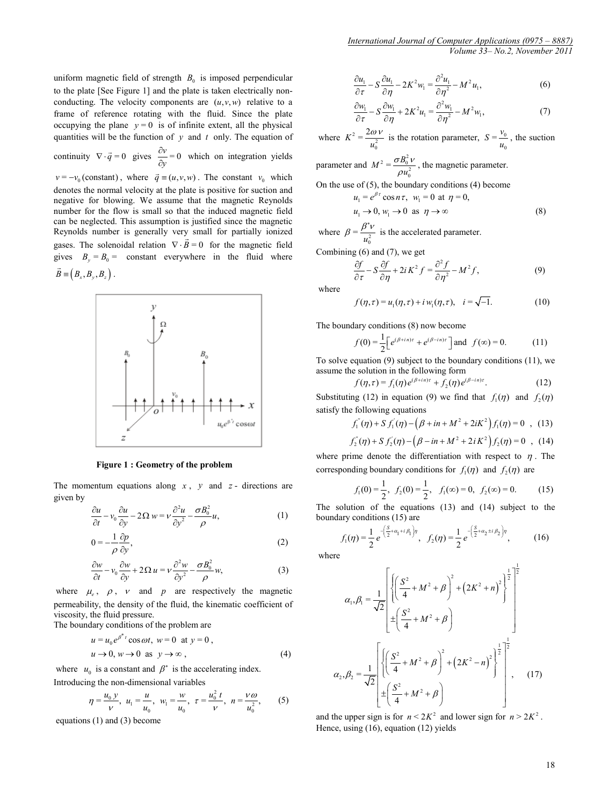uniform magnetic field of strength 
$$
B_0
$$
 is imposed perpendicular  
to the plate [See Figure 1] and the plate is taken electrically non-  
conducting. The velocity components are  $(u, v, w)$  relative to a  
frame of reference rotating with the fluid. Since the plate  
occupying the plane  $y = 0$  is of infinite extent, all the physical  
quantities will be the function of y and t only. The equation of

continuity  $\nabla \cdot \vec{q} = 0$  gives  $\frac{\partial v}{\partial y} = 0$  $\frac{\partial v}{\partial y} = 0$  which on integration yields  $v = -v_0$  (constant), where  $\vec{q} = (u, v, w)$ . The constant  $v_0$  which

denotes the normal velocity at the plate is positive for suction and negative for blowing. We assume that the magnetic Reynolds number for the flow is small so that the induced magnetic field can be neglected. This assumption is justified since the magnetic Reynolds number is generally very small for partially ionized gases. The solenoidal relation  $\nabla \cdot \vec{B} = 0$  for the magnetic field gives  $B_y = B_0 =$  constant everywhere in the fluid where  $\vec{B}$  =  $(B_x, B_y, B_z)$ .



#### **Figure 1 : Geometry of the problem**

The momentum equations along *x* , *y* and *z* - directions are given by

$$
\frac{\partial u}{\partial t} - v_0 \frac{\partial u}{\partial y} - 2\Omega w = v \frac{\partial^2 u}{\partial y^2} - \frac{\sigma B_0^2}{\rho} u,\tag{1}
$$

$$
0 = -\frac{1}{\rho} \frac{\partial p}{\partial y},\tag{2}
$$

$$
\frac{\partial w}{\partial t} - v_0 \frac{\partial w}{\partial y} + 2\Omega u = v \frac{\partial^2 w}{\partial y^2} - \frac{\sigma B_0^2}{\rho} w,
$$
 (3)

where  $\mu_e$ ,  $\rho$ ,  $\nu$  and  $p$  are respectively the magnetic permeability, the density of the fluid, the kinematic coefficient of viscosity, the fluid pressure.

The boundary conditions of the problem are

$$
u = u_0 e^{\beta^* t} \cos \omega t, \ w = 0 \text{ at } y = 0,
$$
  

$$
u \to 0, \ w \to 0 \text{ as } y \to \infty,
$$
 (4)

where  $u_0$  is a constant and  $\beta^*$  is the accelerating index. Introducing the non-dimensional variables

$$
\eta = \frac{u_0 y}{\nu}, \ u_1 = \frac{u}{u_0}, \ w_1 = \frac{w}{u_0}, \ \tau = \frac{u_0^2 t}{\nu}, \ n = \frac{v \omega}{u_0^2}, \ (5)
$$

equations (1) and (3) become

$$
\frac{\partial u_1}{\partial \tau} - S \frac{\partial u_1}{\partial \eta} - 2K^2 w_1 = \frac{\partial^2 u_1}{\partial \eta^2} - M^2 u_1,\tag{6}
$$

$$
\frac{\partial w_1}{\partial \tau} - S \frac{\partial w_1}{\partial \eta} + 2K^2 u_1 = \frac{\partial^2 w_1}{\partial \eta^2} - M^2 w_1,\tag{7}
$$

where  $K^2 = \frac{2\omega v}{u_0^2}$  is the rotation parameter,  $S = \frac{v_0}{u_0}$  $S = \frac{v_0}{u_0}$ , the suction

parameter and  $M^2 = \frac{\sigma B_0^2 v}{\rho u_0^2}$  $\frac{\partial E_0 V}{\partial u_0^2}$ , the magnetic parameter.

On the use of (5), the boundary conditions (4) become

$$
u_1 = e^{\beta \tau} \cos n\tau, \quad w_1 = 0 \text{ at } \eta = 0,
$$
  
\n
$$
u_1 \rightarrow 0, \quad w_1 \rightarrow 0 \text{ as } \eta \rightarrow \infty
$$
 (8)

where  $\beta = \frac{\beta^* v}{u_0^2}$  is the accelerated parameter.

Combining  $(6)$  and  $(7)$ , we get

$$
\frac{\partial f}{\partial \tau} - S \frac{\partial f}{\partial \eta} + 2i K^2 f = \frac{\partial^2 f}{\partial \eta^2} - M^2 f,\tag{9}
$$

where

$$
f(\eta, \tau) = u_1(\eta, \tau) + i w_1(\eta, \tau), \quad i = \sqrt{-1}.
$$
 (10)

The boundary conditions (8) now become

$$
f(0) = \frac{1}{2} \Big[ e^{(\beta + in)\tau} + e^{(\beta - in)\tau} \Big] \text{ and } f(\infty) = 0.
$$
 (11)

To solve equation (9) subject to the boundary conditions (11), we assume the solution in the following form

$$
f(\eta,\tau) = f_1(\eta)e^{(\beta + i\eta)\tau} + f_2(\eta)e^{(\beta - i\eta)\tau}.
$$
 (12)

Substituting (12) in equation (9) we find that  $f_1(\eta)$  and  $f_2(\eta)$ satisfy the following equations

$$
f_1^{''}(\eta) + S f_1^{'}(\eta) - (\beta + in + M^2 + 2iK^2) f_1(\eta) = 0 , (13)
$$

$$
f_2''(\eta) + S f_2'(\eta) - (\beta - in + M^2 + 2i K^2) f_2(\eta) = 0 \quad , \quad (14)
$$

where prime denote the differentiation with respect to  $\eta$ . The corresponding boundary conditions for  $f_1(\eta)$  and  $f_2(\eta)$  are

$$
f_1(0) = \frac{1}{2}, f_2(0) = \frac{1}{2}, f_1(\infty) = 0, f_2(\infty) = 0.
$$
 (15)

The solution of the equations (13) and (14) subject to the boundary conditions (15) are

$$
f_1(\eta) = \frac{1}{2} e^{-\left(\frac{S}{2} + \alpha_1 + i \beta_1\right)\eta}, \quad f_2(\eta) = \frac{1}{2} e^{-\left(\frac{S}{2} + \alpha_2 + i \beta_2\right)\eta}, \quad (16)
$$

where

$$
\alpha_{1}, \beta_{1} = \frac{1}{\sqrt{2}} \left[ \left\{ \left( \frac{S^{2}}{4} + M^{2} + \beta \right)^{2} + \left( 2K^{2} + n \right)^{2} \right\}^{\frac{1}{2}} \right]^{1/2}
$$

$$
\alpha_{2}, \beta_{2} = \frac{1}{\sqrt{2}} \left[ \left\{ \left( \frac{S^{2}}{4} + M^{2} + \beta \right)^{2} + \left( 2K^{2} - n \right)^{2} \right\}^{\frac{1}{2}} \right]^{1/2}, \quad (17)
$$

and the upper sign is for  $n < 2K^2$  and lower sign for  $n > 2K^2$ . Hence, using (16), equation (12) yields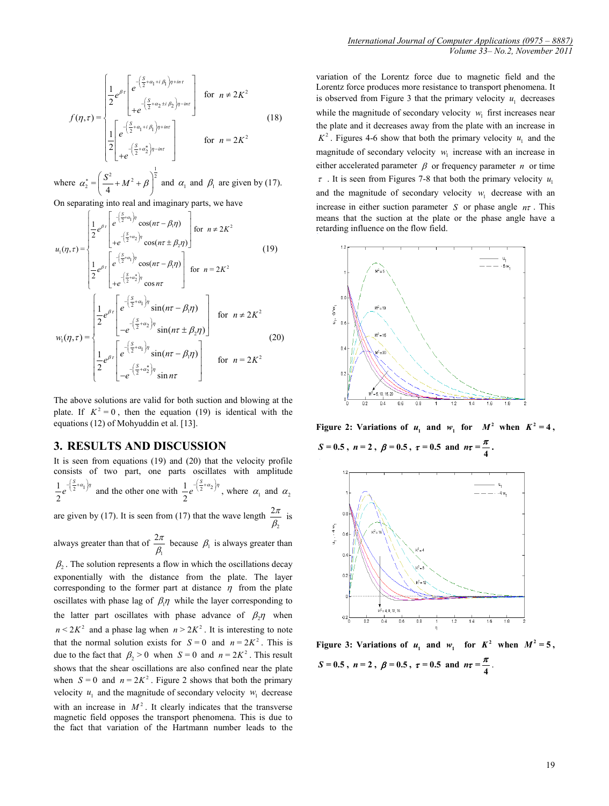$$
f(\eta,\tau) = \begin{cases} \frac{1}{2} e^{\beta \tau} \begin{bmatrix} e^{-\left(\frac{S}{2} + \alpha_1 + i \beta_1\right)\eta + in\tau} \\ + e^{-\left(\frac{S}{2} + \alpha_2 \pm i \beta_2\right)\eta - in\tau} \end{bmatrix} & \text{for } n \neq 2K^2\\ \frac{1}{2} \begin{bmatrix} e^{-\left(\frac{S}{2} + \alpha_1 + i \beta_1\right)\eta + in\tau} \\ + e^{-\left(\frac{S}{2} + \alpha_2^*\right)\eta - in\tau} \end{bmatrix} & \text{for } n = 2K^2 \end{cases}
$$
(18)

where  $\alpha_2^* = \left(\frac{S^2}{4} + M^2 + \beta\right)^{\frac{1}{2}}$  and  $\alpha_1$  and  $\beta_1$  are given by (17).

On separating into real and imaginary parts, we have

$$
u_{1}(\eta,\tau) = \begin{cases} \frac{1}{2} e^{\beta \tau} \left[ e^{-\left(\frac{S}{2} + a_{1}\right)\eta} \cos(n\tau - \beta_{1}\eta) \right] \text{ for } n \neq 2K^{2} \\ + e^{-\left(\frac{S}{2} + a_{2}\right)\eta} \cos(n\tau \pm \beta_{2}\eta) \right] \text{ for } n = 2K^{2} \\ \frac{1}{2} e^{\beta \tau} \left[ e^{-\left(\frac{S}{2} + a_{1}\right)\eta} \cos(n\tau - \beta_{1}\eta) \right] \text{ for } n = 2K^{2} \end{cases} \text{ (19)}
$$
  

$$
w_{1}(\eta,\tau) = \begin{cases} \frac{1}{2} e^{\beta \tau} \left[ e^{-\left(\frac{S}{2} + a_{1}\right)\eta} \sin(n\tau - \beta_{1}\eta) \right] \text{ for } n \neq 2K^{2} \\ -e^{-\left(\frac{S}{2} + a_{2}\right)\eta} \sin(n\tau \pm \beta_{2}\eta) \right] \text{ for } n \neq 2K^{2} \\ \frac{1}{2} e^{\beta \tau} \left[ e^{-\left(\frac{S}{2} + a_{1}\right)\eta} \sin(n\tau - \beta_{1}\eta) \right] \text{ for } n = 2K^{2} \\ -e^{-\left(\frac{S}{2} + a_{2}\right)\eta} \sin n\tau \end{cases} \text{ (20)}
$$

The above solutions are valid for both suction and blowing at the plate. If  $K^2 = 0$ , then the equation (19) is identical with the equations (12) of Mohyuddin et al. [13].

### **3. RESULTS AND DISCUSSION**

It is seen from equations (19) and (20) that the velocity profile consists of two part, one parts oscillates with amplitude  $1 - \left(\frac{3}{2} + \alpha_1\right)$ 2  $e^{-\left(\frac{S}{2}+a_1\right)\eta}$  and the other one with  $\frac{1}{2}e^{-\left(\frac{S}{2}+a_2\right)}$  $e^{-\left(\frac{S}{2}+\alpha_2\right)\eta}$ , where  $\alpha_1$  and  $\alpha_2$ are given by (17). It is seen from (17) that the wave length  $\frac{2\pi}{\sigma}$ 2  $\frac{2\pi}{\beta_2}$  is always greater than that of  $2\pi$  $\frac{\partial n}{\partial \beta_1}$  because  $\beta_1$  is always greater than

1  $\beta$ . The solution represents a flow in which the oscillations decay exponentially with the distance from the plate. The layer corresponding to the former part at distance  $\eta$  from the plate oscillates with phase lag of  $\beta_1 \eta$  while the layer corresponding to the latter part oscillates with phase advance of  $\beta_{2} \eta$  when  $n < 2K^2$  and a phase lag when  $n > 2K^2$ . It is interesting to note that the normal solution exists for  $S = 0$  and  $n = 2K^2$ . This is due to the fact that  $\beta_2 > 0$  when  $S = 0$  and  $n = 2K^2$ . This result shows that the shear oscillations are also confined near the plate when  $S = 0$  and  $n = 2K^2$ . Figure 2 shows that both the primary velocity  $u_1$  and the magnitude of secondary velocity  $w_1$  decrease with an increase in  $M^2$ . It clearly indicates that the transverse magnetic field opposes the transport phenomena. This is due to the fact that variation of the Hartmann number leads to the *[International Journal of Computer Applications \(0975 –](http://www.ijcaonline.org/) 8887) Volume 33– No.2, November 2011*

variation of the Lorentz force due to magnetic field and the Lorentz force produces more resistance to transport phenomena. It is observed from Figure 3 that the primary velocity  $u_1$  decreases while the magnitude of secondary velocity  $w_1$  first increases near the plate and it decreases away from the plate with an increase in  $K^2$ . Figures 4-6 show that both the primary velocity  $u_1$  and the magnitude of secondary velocity  $w_1$  increase with an increase in either accelerated parameter  $\beta$  or frequency parameter *n* or time  $\tau$ . It is seen from Figures 7-8 that both the primary velocity  $u_1$ and the magnitude of secondary velocity  $w_1$  decrease with an increase in either suction parameter *S* or phase angle  $n\tau$ . This means that the suction at the plate or the phase angle have a retarding influence on the flow field.



**Figure** 2: Variations of  $u_1$  and  $w_1$  for  $M^2$  when  $K^2 = 4$ ,  $S = 0.5$ ,  $n = 2$ ,  $\beta = 0.5$ ,  $\tau = 0.5$  and  $n\tau = \frac{\pi}{4}$ .



**Figure** 3: Variations of  $u_1$  and  $w_1$  for  $K^2$  when  $M^2 = 5$ ,

*S* = 0.5 **,** *n* = 2 **,**  $\beta$  = 0.5 **,**  $\tau$  = 0.5 and  $n\tau = \frac{\pi}{4}$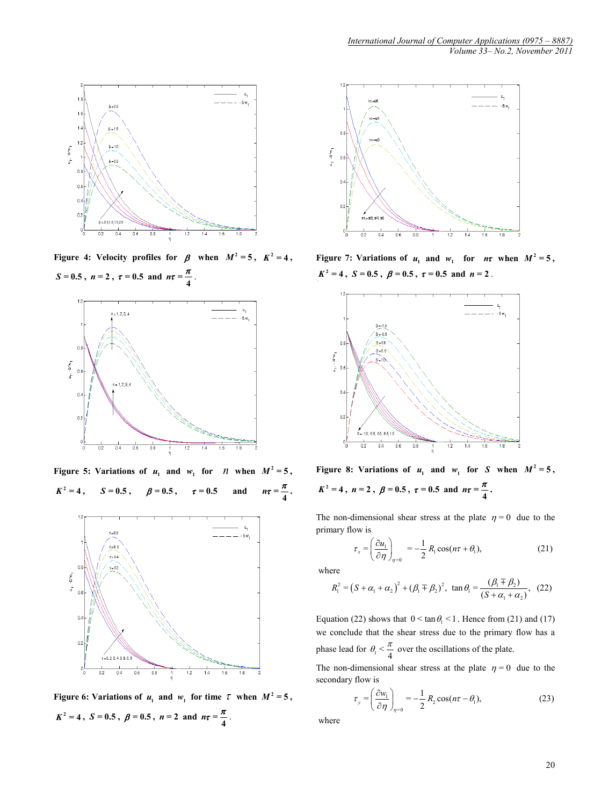

**Figure** 4: **Velocity profiles for**  $\beta$  **when**  $M^2 = 5$ **,**  $K^2 = 4$ **,**  $S = 0.5$ ,  $n = 2$ ,  $\tau = 0.5$  and  $n\tau = \frac{\pi}{4}$ .



**Figure** 5: Variations of  $u_1$  and  $w_1$  for *n* when  $M^2 = 5$ ,  $K^2 = 4$ **,**  $S = 0.5$ **,**  $\beta = 0.5$ **,**  $\tau = 0.5$  **and**  $n\tau = \frac{\pi}{4}$ **.** 



**Figure** 6: **Variations of**  $u_1$  **and**  $w_1$  **for time**  $\tau$  **when**  $M^2 = 5$ ,  $K^2 = 4$ ,  $S = 0.5$ ,  $\beta = 0.5$ ,  $n = 2$  and  $n\tau = \frac{\pi}{4}$ .



**Figure** 7: **Variations of**  $u_1$  **and**  $w_1$  **for**  $n\tau$  **when**  $M^2 = 5$ **,**  $K^2 = 4$ ,  $S = 0.5$ ,  $\beta = 0.5$ ,  $\tau = 0.5$  and  $n = 2$ .



**Figure** 8: Variations of  $u_1$  and  $w_1$  for *S* when  $M^2 = 5$ ,  $K^2 = 4$ ,  $n = 2$ ,  $\beta = 0.5$ ,  $\tau = 0.5$  and  $n\tau = \frac{\pi}{4}$ .

The non-dimensional shear stress at the plate  $\eta = 0$  due to the primary flow is

$$
\tau_x = \left(\frac{\partial u_1}{\partial \eta}\right)_{\eta=0} = -\frac{1}{2} R_1 \cos(n\tau + \theta_1),\tag{21}
$$

where

$$
R_1^2 = (S + \alpha_1 + \alpha_2)^2 + (\beta_1 \mp \beta_2)^2, \ \tan \theta_1 = \frac{(\beta_1 \mp \beta_2)}{(S + \alpha_1 + \alpha_2)}, \ \ (22)
$$

Equation (22) shows that  $0 < \tan \theta_1 < 1$ . Hence from (21) and (17) we conclude that the shear stress due to the primary flow has a phase lead for  $\theta_1 < \frac{\pi}{4}$  over the oscillations of the plate.

The non-dimensional shear stress at the plate  $\eta = 0$  due to the secondary flow is

$$
\tau_{y} = \left(\frac{\partial w_{1}}{\partial \eta}\right)_{\eta=0} = -\frac{1}{2} R_{2} \cos(n\tau - \theta_{1}), \qquad (23)
$$

where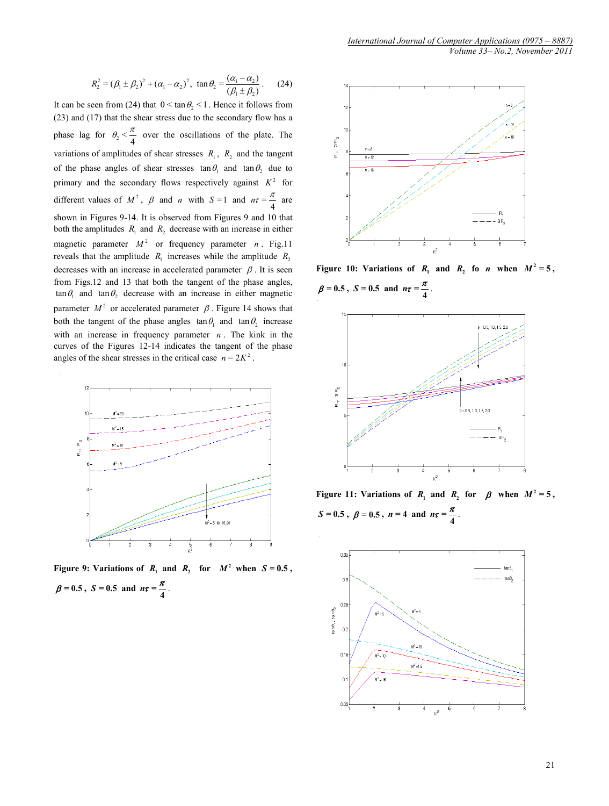$$
R_2^2 = (\beta_1 \pm \beta_2)^2 + (\alpha_1 - \alpha_2)^2, \ \tan \theta_2 = \frac{(\alpha_1 - \alpha_2)}{(\beta_1 \pm \beta_2)}.
$$
 (24)

It can be seen from (24) that  $0 \le \tan \theta_2 \le 1$ . Hence it follows from (23) and (17) that the shear stress due to the secondary flow has a phase lag for  $\theta_2 < \frac{\pi}{4}$  over the oscillations of the plate. The variations of amplitudes of shear stresses  $R_1$ ,  $R_2$  and the tangent of the phase angles of shear stresses  $\tan \theta_1$  and  $\tan \theta_2$  due to primary and the secondary flows respectively against  $K^2$  for different values of  $M^2$ ,  $\beta$  and *n* with  $S=1$  and  $n\tau = \frac{\pi}{4}$  are shown in Figures 9-14. It is observed from Figures 9 and 10 that both the amplitudes  $R_1$  and  $R_2$  decrease with an increase in either magnetic parameter  $M^2$  or frequency parameter *n*. Fig.11 reveals that the amplitude  $R_1$  increases while the amplitude  $R_2$ decreases with an increase in accelerated parameter  $\beta$ . It is seen from Figs.12 and 13 that both the tangent of the phase angles,  $\tan \theta_1$  and  $\tan \theta_2$  decrease with an increase in either magnetic parameter  $M^2$  or accelerated parameter  $\beta$ . Figure 14 shows that both the tangent of the phase angles  $\tan \theta_1$  and  $\tan \theta_2$  increase with an increase in frequency parameter  $n$ . The kink in the curves of the Figures 12-14 indicates the tangent of the phase angles of the shear stresses in the critical case  $n = 2K^2$ .



**Figure** 9: Variations of  $R_1$  and  $R_2$  for  $M^2$  when  $S = 0.5$ ,  $\beta = 0.5$ ,  $S = 0.5$  and  $n\tau = \frac{\pi}{4}$ .



**Figure** 10: Variations of  $R_1$  and  $R_2$  fo *n* when  $M^2 = 5$ ,  $\beta = 0.5$ ,  $S = 0.5$  and  $n\tau = \frac{\pi}{4}$ .



**Figure** 11: **Variations of** *R*<sub>1</sub> **and** *R*<sub>2</sub> **for**  $\beta$  **when**  $M^2 = 5$ ,  $S = 0.5$ ,  $\beta = 0.5$ ,  $n = 4$  and  $n\tau = \frac{\pi}{4}$ .

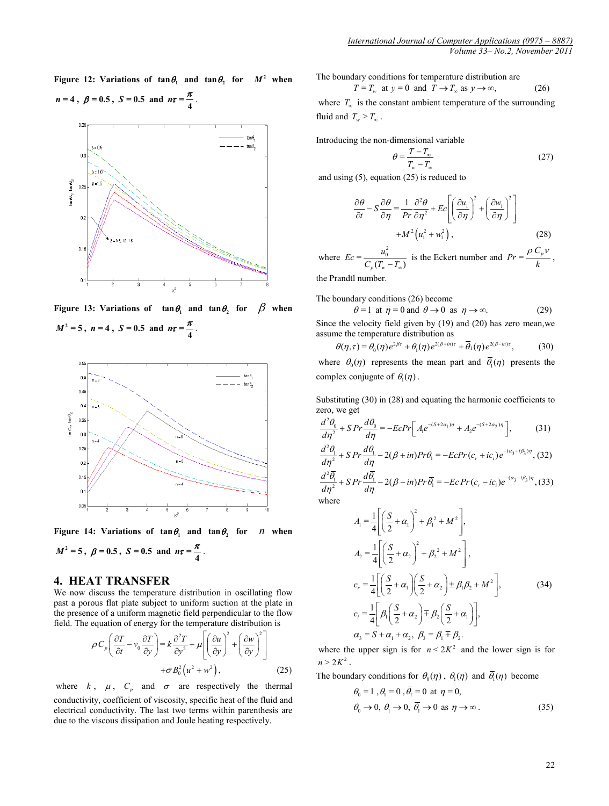**Figure** 12: **Variations of**  $\tan \theta_1$  **and**  $\tan \theta_2$  **for**  $M^2$  **when** 



**Figure** 13: Variations of  $\tan \theta_1$  and  $\tan \theta_2$  for  $\beta$  when  $M^2 = 5$ ,  $n = 4$ ,  $S = 0.5$  and  $n\tau = \frac{\pi}{4}$ 



**Figure** 14: Variations of  $\tan \theta$  and  $\tan \theta$  for *n* when

$$
M^2 = 5
$$
,  $\beta = 0.5$ ,  $S = 0.5$  and  $n\tau = \frac{\pi}{4}$ .

### **4. HEAT TRANSFER**

We now discuss the temperature distribution in oscillating flow past a porous flat plate subject to uniform suction at the plate in the presence of a uniform magnetic field perpendicular to the flow field. The equation of energy for the temperature distribution is

$$
\rho C_p \left( \frac{\partial T}{\partial t} - v_0 \frac{\partial T}{\partial y} \right) = k \frac{\partial^2 T}{\partial y^2} + \mu \left[ \left( \frac{\partial u}{\partial y} \right)^2 + \left( \frac{\partial w}{\partial y} \right)^2 \right] + \sigma B_0^2 \left( u^2 + w^2 \right), \tag{25}
$$

where  $k$ ,  $\mu$ ,  $C_p$  and  $\sigma$  are respectively the thermal conductivity, coefficient of viscosity, specific heat of the fluid and electrical conductivity. The last two terms within parenthesis are due to the viscous dissipation and Joule heating respectively.

The boundary conditions for temperature distribution are

$$
T = T_w \text{ at } y = 0 \text{ and } T \to T_w \text{ as } y \to \infty,
$$
 (26)

where  $T_{\infty}$  is the constant ambient temperature of the surrounding fluid and  $T_w > T_w$ .

Introducing the non-dimensional variable

$$
\theta = \frac{T - T_{\infty}}{T_{w} - T_{\infty}} \tag{27}
$$

and using (5), equation (25) is reduced to

$$
\frac{\partial \theta}{\partial t} - S \frac{\partial \theta}{\partial \eta} = \frac{1}{Pr} \frac{\partial^2 \theta}{\partial \eta^2} + Ec \left[ \left( \frac{\partial u_1}{\partial \eta} \right)^2 + \left( \frac{\partial w_1}{\partial \eta} \right)^2 \right] + M^2 \left( u_1^2 + w_1^2 \right),
$$
\n(28)

where  $Ec = \frac{u_0^2}{C_p(T_w - T_\infty)}$  $C_p(T_w - T_{\infty})$ is the Eckert number and  $Pr = \frac{\rho C_p v}{k}$ , the Prandtl number.

The boundary conditions (26) become

$$
\theta = 1 \text{ at } \eta = 0 \text{ and } \theta \to 0 \text{ as } \eta \to \infty. \tag{29}
$$

Since the velocity field given by (19) and (20) has zero mean,we assume the temperature distribution as

$$
\theta(\eta,\tau) = \theta_0(\eta) e^{2\beta\tau} + \theta_1(\eta) e^{2(\beta + i\eta)\tau} + \overline{\theta}_1(\eta) e^{2(\beta - i\eta)\tau},
$$
 (30)

where  $\theta_0(\eta)$  represents the mean part and  $\overline{\theta_1}(\eta)$  presents the complex conjugate of  $\theta_1(\eta)$ .

Substituting (30) in (28) and equating the harmonic coefficients to

zero, we get  
\n
$$
\frac{d^2\theta_0}{d\eta^2} + S \, Pr \frac{d\theta_0}{d\eta} = -E c \, Pr \left[ A_1 e^{-(S+2\alpha_1)\eta} + A_2 e^{-(S+2\alpha_2)\eta} \right],
$$
\n(31)

$$
\frac{d^2\theta_1}{d\eta^2} + SPr \frac{d\theta_1}{d\eta} - 2(\beta + in)Pr\theta_1 = -EcPr(c_r + ic_i)e^{-(\alpha_3 + i\beta_3)\eta}, (32)
$$

$$
\frac{d^2\overline{\theta_1}}{d\eta^2} + SPr \frac{d\overline{\theta_1}}{d\eta} - 2(\beta - in)Pr \overline{\theta_1} = -Ec Pr(c_r - ic_i)e^{-(\alpha_3 - i\beta_3)\eta}, (33)
$$
  
where

$$
A_1 = \frac{1}{4} \left[ \left( \frac{S}{2} + \alpha_1 \right)^2 + \beta_1^2 + M^2 \right],
$$
  
\n
$$
A_2 = \frac{1}{4} \left[ \left( \frac{S}{2} + \alpha_2 \right)^2 + \beta_2^2 + M^2 \right],
$$
  
\n
$$
c_r = \frac{1}{4} \left[ \left( \frac{S}{2} + \alpha_1 \right) \left( \frac{S}{2} + \alpha_2 \right) \pm \beta_1 \beta_2 + M^2 \right],
$$
  
\n
$$
c_i = \frac{1}{4} \left[ \beta_1 \left( \frac{S}{2} + \alpha_2 \right) \mp \beta_2 \left( \frac{S}{2} + \alpha_1 \right) \right],
$$
  
\n
$$
\alpha_3 = S + \alpha_1 + \alpha_2, \ \beta_3 = \beta_1 \mp \beta_2.
$$
  
\n(34)

where the upper sign is for  $n < 2K^2$  and the lower sign is for  $n > 2K^2$ .

The boundary conditions for  $\theta_0(\eta)$ ,  $\theta_1(\eta)$  and  $\overline{\theta}_1(\eta)$  become

$$
\theta_0 = 1, \theta_1 = 0, \overline{\theta_1} = 0 \text{ at } \eta = 0,
$$
  

$$
\theta_0 \to 0, \theta_1 \to 0, \overline{\theta_1} \to 0 \text{ as } \eta \to \infty.
$$
 (35)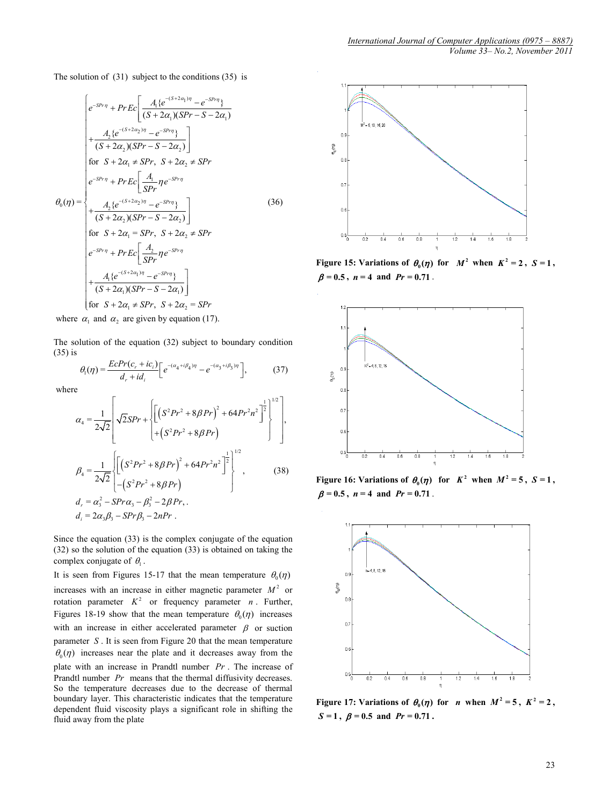The solution of (31) subject to the conditions (35) is

$$
\theta_{0}(\eta) = \begin{cases}\ne^{-SPr\eta} + Pr\,Ec\left[\frac{A_{1}\{e^{-(S+2\alpha_{1})\eta} - e^{-SPr\eta}\}}{(S+2\alpha_{1})(SPr-S-2\alpha_{1})}\right. \\
+\frac{A_{2}\{e^{-(S+2\alpha_{2})\eta} - e^{-SPr\eta}\}}{(S+2\alpha_{2})(SPr-S-2\alpha_{2})}\right] \\
for\quad S+2\alpha_{1} \neq SPr,\quad S+2\alpha_{2} \neq SPr \\
\ne^{-SPr\eta} + Pr\,Ec\left[\frac{A_{1}}{SPr}\eta e^{-SPr\eta}\right. \\
+\frac{A_{2}\{e^{-(S+2\alpha_{2})\eta} - e^{-SPr\eta}\}}{(S+2\alpha_{2})(SPr-S-2\alpha_{2})}\right] \\
for\quad S+2\alpha_{1} = SPr,\quad S+2\alpha_{2} \neq SPr \\
\ne^{-SPr\eta} + Pr\,Ec\left[\frac{A_{2}}{SPr}\eta e^{-SPr\eta}\right. \\
+ \frac{A_{1}\{e^{-(S+2\alpha_{1})\eta} - e^{-SPr\eta}\}}{(S+2\alpha_{1})(SPr-S-2\alpha_{1})}\right] \\
for\quad S+2\alpha_{1} \neq SPr,\quad S+2\alpha_{2} = SPr\n\end{cases} \tag{36}
$$

where  $\alpha_1$  and  $\alpha_2$  are given by equation (17).

The solution of the equation (32) subject to boundary condition (35) is

$$
\theta_{\rm i}(\eta) = \frac{E c Pr(c_{r} + ic_{i})}{d_{r} + id_{i}} \bigg[ e^{-(\alpha_{4} + i\beta_{4})\eta} - e^{-(\alpha_{3} + i\beta_{3})\eta} \bigg],\tag{37}
$$

where

$$
\alpha_{4} = \frac{1}{2\sqrt{2}} \left[ \sqrt{2}SPr + \left\{ \left[ \left( S^{2}Pr^{2} + 8\beta Pr \right)^{2} + 64Pr^{2}n^{2} \right]^{2} \right]^{1/2} \right],
$$
\n
$$
\beta_{4} = \frac{1}{2\sqrt{2}} \left\{ \left[ \left( S^{2}Pr^{2} + 8\beta Pr \right)^{2} + 64Pr^{2}n^{2} \right]^{2} \right\}^{1/2},
$$
\n
$$
d_{r} = \alpha_{3}^{2} - SPr\alpha_{3} - \beta_{3}^{2} - 2\beta Pr, \dots
$$
\n
$$
d_{i} = 2\alpha_{3}\beta_{3} - SPr\beta_{3} - 2nPr.
$$
\n(38)

Since the equation (33) is the complex conjugate of the equation (32) so the solution of the equation (33) is obtained on taking the complex conjugate of  $\theta_1$ .

It is seen from Figures 15-17 that the mean temperature  $\theta_0(\eta)$ increases with an increase in either magnetic parameter  $M^2$  or rotation parameter  $K^2$  or frequency parameter *n*. Further, Figures 18-19 show that the mean temperature  $\theta_0(\eta)$  increases with an increase in either accelerated parameter  $\beta$  or suction parameter *S* . It is seen from Figure 20 that the mean temperature  $\theta_0(\eta)$  increases near the plate and it decreases away from the plate with an increase in Prandtl number *Pr* . The increase of Prandtl number *Pr* means that the thermal diffusivity decreases. So the temperature decreases due to the decrease of thermal boundary layer. This characteristic indicates that the temperature dependent fluid viscosity plays a significant role in shifting the fluid away from the plate



**Figure** 15: **Variations of**  $\theta_0(\eta)$  **for**  $M^2$  **when**  $K^2 = 2$ **,**  $S = 1$ **,**  $\beta = 0.5$ ,  $n = 4$  and  $Pr = 0.71$ .



**Figure** 16: **Variations of**  $\theta_0(\eta)$  **for**  $K^2$  **when**  $M^2 = 5$ **,**  $S = 1$ **,**  $\beta = 0.5$ ,  $n = 4$  and  $Pr = 0.71$ .



**Figure** 17: **Variations of**  $\theta_0(\eta)$  **for** *n* **when**  $M^2 = 5$ **,**  $K^2 = 2$ **,**  $S = 1$ ,  $\beta = 0.5$  and  $Pr = 0.71$ .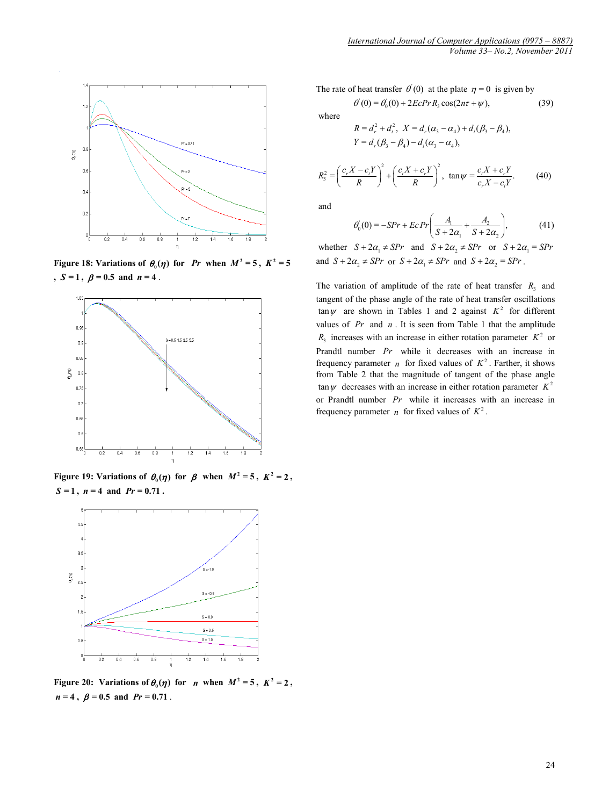

**Figure** 18: **Variations of**  $\theta_0(\eta)$  **for** *Pr* **when**  $M^2 = 5$ **,**  $K^2 = 5$ **,**  $S = 1$ ,  $\beta = 0.5$  and  $n = 4$ .



**Figure** 19: **Variations of**  $\theta_0(\eta)$  **for**  $\beta$  **when**  $M^2 = 5$ **,**  $K^2 = 2$ **,**  $S = 1$ ,  $n = 4$  and  $Pr = 0.71$ .



**Figure** 20: **Variations of**  $\theta_0(\eta)$  for *n* when  $M^2 = 5$ ,  $K^2 = 2$ ,  $n = 4$ ,  $\beta = 0.5$  and  $Pr = 0.71$ .

The rate of heat transfer  $\theta'(0)$  at the plate  $\eta = 0$  is given by

$$
\theta'(0) = \theta'_0(0) + 2EcPr R_3 \cos(2n\tau + \psi),
$$
\n(39)

where  
\n
$$
R = d_r^2 + d_i^2, \ X = d_r(\alpha_3 - \alpha_4) + d_i(\beta_3 - \beta_4),
$$
\n
$$
Y = d_r(\beta_3 - \beta_4) - d_i(\alpha_3 - \alpha_4),
$$

$$
R_3^2 = \left(\frac{c_r X - c_i Y}{R}\right)^2 + \left(\frac{c_i X + c_r Y}{R}\right)^2, \ \tan\psi = \frac{c_i X + c_r Y}{c_r X - c_i Y}.\tag{40}
$$

and

$$
\theta_0'(0) = -SPr + Ec \Pr\bigg(\frac{A_1}{S + 2\alpha_1} + \frac{A_2}{S + 2\alpha_2}\bigg),
$$
(41)

whether  $S + 2\alpha_1 \neq SPr$  and  $S + 2\alpha_2 \neq SPr$  or  $S + 2\alpha_1 = SPr$ and  $S + 2\alpha_2 \neq SPr$  or  $S + 2\alpha_1 \neq SPr$  and  $S + 2\alpha_2 = SPr$ .

The variation of amplitude of the rate of heat transfer  $R_3$  and tangent of the phase angle of the rate of heat transfer oscillations  $\tan \psi$  are shown in Tables 1 and 2 against  $K^2$  for different values of *Pr* and *n* . It is seen from Table 1 that the amplitude  $R_3$  increases with an increase in either rotation parameter  $K^2$  or Prandtl number *Pr* while it decreases with an increase in frequency parameter *n* for fixed values of  $K^2$ . Farther, it shows from Table 2 that the magnitude of tangent of the phase angle  $\tan \psi$  decreases with an increase in either rotation parameter  $K^2$ or Prandtl number *Pr* while it increases with an increase in frequency parameter *n* for fixed values of  $K^2$ .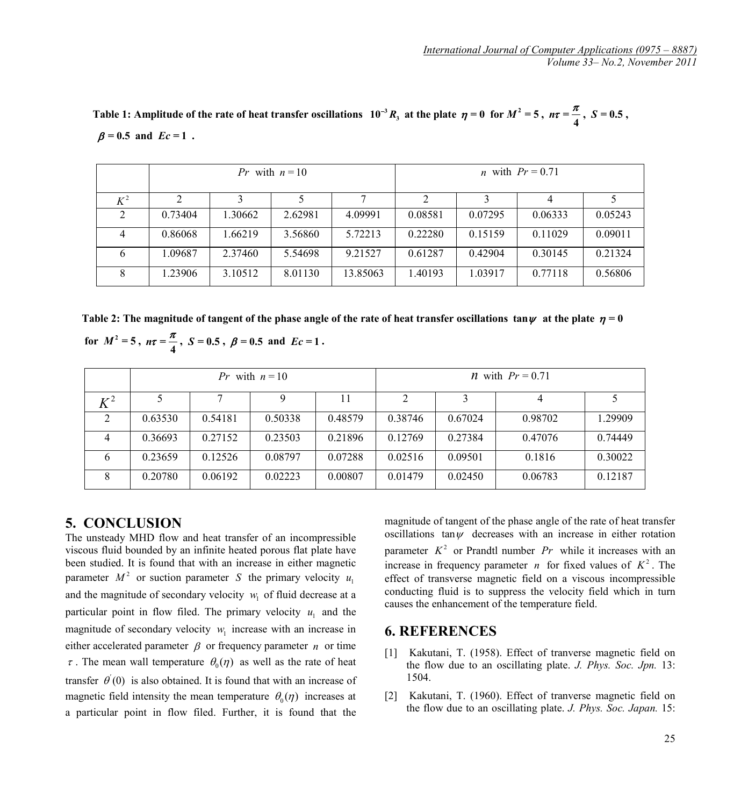Table 1: Amplitude of the rate of heat transfer oscillations  $10^{-3}R_3$  at the plate  $\eta = 0$  for  $M^2 = 5$ ,  $n\tau = \frac{\pi}{4}$ ,  $S = 0.5$ ,  $\beta = 0.5$  and  $Ec = 1$ .

|       |         |         | <i>Pr</i> with $n = 10$ |          | <i>n</i> with $Pr = 0.71$ |         |         |         |
|-------|---------|---------|-------------------------|----------|---------------------------|---------|---------|---------|
| $K^2$ |         |         |                         |          |                           |         |         |         |
|       | 0.73404 | 1.30662 | 2.62981                 | 4.09991  | 0.08581                   | 0.07295 | 0.06333 | 0.05243 |
|       | 0.86068 | 1.66219 | 3.56860                 | 5.72213  | 0.22280                   | 0.15159 | 0.11029 | 0.09011 |
|       | .09687  | 2.37460 | 5.54698                 | 9.21527  | 0.61287                   | 0.42904 | 0.30145 | 0.21324 |
|       | .23906  | 3.10512 | 8.01130                 | 13.85063 | 1.40193                   | 1.03917 | 0.77118 | 0.56806 |

 **Table 2:** The magnitude of tangent of the phase angle of the rate of heat transfer oscillations  $\tan \psi$  at the plate  $\eta = 0$  **for**  $M^2 = 5$ ,  $n\tau = \frac{\pi}{4}$ ,  $S = 0.5$ ,  $\beta = 0.5$  and  $Ec = 1$ .

|         | with $n = 10$<br>Pr |         |         |         | <i>n</i> with $Pr = 0.71$     |         |         |         |
|---------|---------------------|---------|---------|---------|-------------------------------|---------|---------|---------|
| $K^2\,$ |                     |         |         |         | $\mathfrak{D}_{\mathfrak{p}}$ |         |         |         |
|         | 0.63530             | 0.54181 | 0.50338 | 0.48579 | 0.38746                       | 0.67024 | 0.98702 | 1.29909 |
| 4       | 0.36693             | 0.27152 | 0.23503 | 0.21896 | 0.12769                       | 0.27384 | 0.47076 | 0.74449 |
| 6       | 0.23659             | 0.12526 | 0.08797 | 0.07288 | 0.02516                       | 0.09501 | 0.1816  | 0.30022 |
|         | 0.20780             | 0.06192 | 0.02223 | 0.00807 | 0.01479                       | 0.02450 | 0.06783 | 0.12187 |

### **5. CONCLUSION**

The unsteady MHD flow and heat transfer of an incompressible viscous fluid bounded by an infinite heated porous flat plate have been studied. It is found that with an increase in either magnetic parameter  $M^2$  or suction parameter *S* the primary velocity  $u_i$ and the magnitude of secondary velocity  $w_1$  of fluid decrease at a particular point in flow filed. The primary velocity  $u_1$  and the magnitude of secondary velocity  $w_1$  increase with an increase in either accelerated parameter  $\beta$  or frequency parameter *n* or time  $\tau$ . The mean wall temperature  $\theta_0(\eta)$  as well as the rate of heat transfer  $\theta(0)$  is also obtained. It is found that with an increase of magnetic field intensity the mean temperature  $\theta_0(\eta)$  increases at a particular point in flow filed. Further, it is found that the magnitude of tangent of the phase angle of the rate of heat transfer oscillations tan $\psi$  decreases with an increase in either rotation parameter  $K^2$  or Prandtl number  $Pr$  while it increases with an increase in frequency parameter *n* for fixed values of  $K^2$ . The effect of transverse magnetic field on a viscous incompressible conducting fluid is to suppress the velocity field which in turn

causes the enhancement of the temperature field.

## **6. REFERENCES**

- [1] Kakutani, T. (1958). Effect of tranverse magnetic field on the flow due to an oscillating plate. *J. Phys. Soc. Jpn.* 13: 1504.
- [2] Kakutani, T. (1960). Effect of tranverse magnetic field on the flow due to an oscillating plate. *J. Phys. Soc. Japan.* 15: